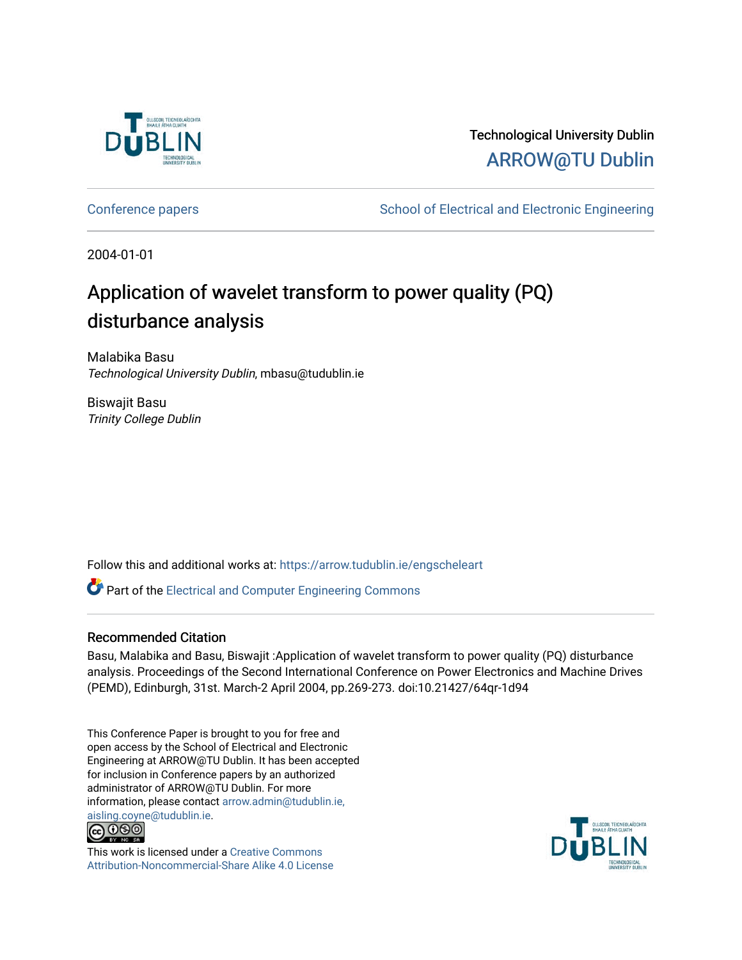

## Technological University Dublin [ARROW@TU Dublin](https://arrow.tudublin.ie/)

[Conference papers](https://arrow.tudublin.ie/engscheleart) **School of Electrical and Electronic Engineering** 

2004-01-01

# Application of wavelet transform to power quality (PQ) disturbance analysis

Malabika Basu Technological University Dublin, mbasu@tudublin.ie

Biswajit Basu Trinity College Dublin

Follow this and additional works at: [https://arrow.tudublin.ie/engscheleart](https://arrow.tudublin.ie/engscheleart?utm_source=arrow.tudublin.ie%2Fengscheleart%2F110&utm_medium=PDF&utm_campaign=PDFCoverPages) 

Part of the [Electrical and Computer Engineering Commons](http://network.bepress.com/hgg/discipline/266?utm_source=arrow.tudublin.ie%2Fengscheleart%2F110&utm_medium=PDF&utm_campaign=PDFCoverPages) 

## Recommended Citation

Basu, Malabika and Basu, Biswajit :Application of wavelet transform to power quality (PQ) disturbance analysis. Proceedings of the Second International Conference on Power Electronics and Machine Drives (PEMD), Edinburgh, 31st. March-2 April 2004, pp.269-273. doi:10.21427/64qr-1d94

This Conference Paper is brought to you for free and open access by the School of Electrical and Electronic Engineering at ARROW@TU Dublin. It has been accepted for inclusion in Conference papers by an authorized administrator of ARROW@TU Dublin. For more information, please contact [arrow.admin@tudublin.ie,](mailto:arrow.admin@tudublin.ie,%20aisling.coyne@tudublin.ie)  [aisling.coyne@tudublin.ie.](mailto:arrow.admin@tudublin.ie,%20aisling.coyne@tudublin.ie)<br>© 090



This work is licensed under a [Creative Commons](http://creativecommons.org/licenses/by-nc-sa/4.0/) [Attribution-Noncommercial-Share Alike 4.0 License](http://creativecommons.org/licenses/by-nc-sa/4.0/)

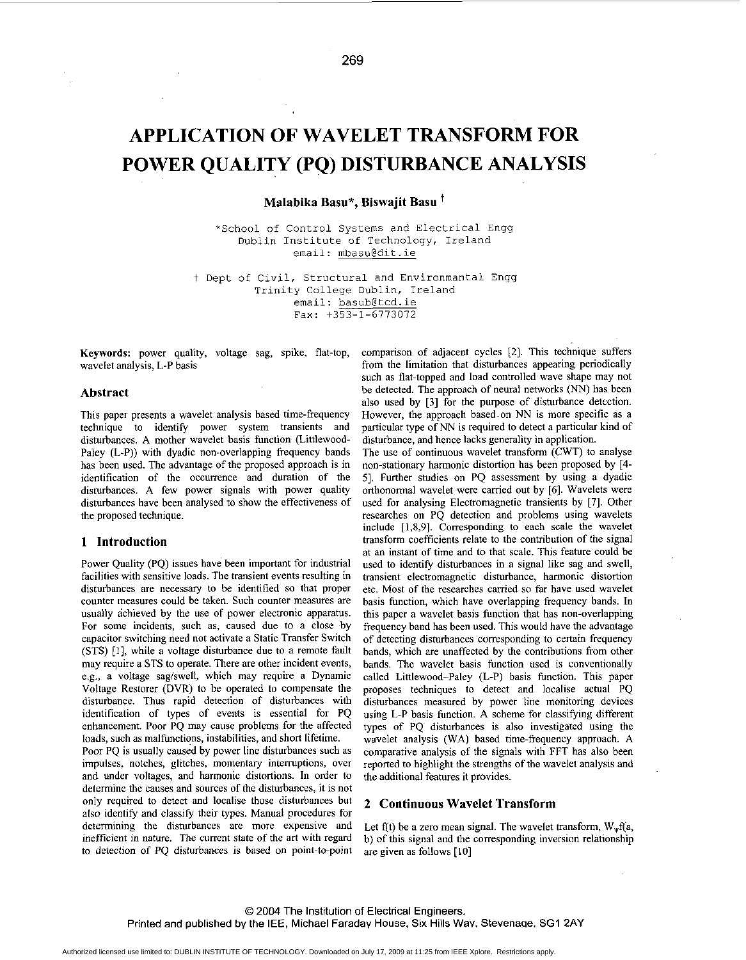## **APPLICATION OF WAVELET TRANSFORM FOR POWER QUALITY (PQ) DISTURBANCE ANALYSIS**

**Malabika Basu\*, Biswajit Basu** '

\*School of Control Systems and Electrical Engg Dublin Institute of Technology, Ireland email: mbasu@dit.ie

t Dept of Civil, Structural and Environmantal Engg Trinity College Dublin, Ireland email: basub@tcd.ie  $Fax: +353-1-6773072$ 

Keywords: power quality, voltage sag, spike, flat-top, wavelet analysis, L-P basis

#### **Abstract**

This paper presents a wavelet analysis based time-frequency technique to identify power system transients and disturbances. **A** mother wavelet basis function (Littlewood-Paley (L-P)) with dyadic non-overlapping frequency bands has been used. The advantage of the proposed approach is in identification of the occurrence and duration of the disturbances. **A** few power signals with power quality disturbances have been analysed to show the effectiveness of the proposed technique.

## **1 Introduction**

Power Quality (PQ) issues have been important for industrial facilities with sensitive loads. The transient events resulting in disturbances are necessary to be identified so that proper counter measures could be taken. Such counter measures are usually achieved by the use of power electronic apparatus. For some incidents, such as, caused due to a close by capacitor switching need not activate a Static Transfer Switch (STS) [l], while a voltage disturbance due to a remote fault may require a STS to operate. There are other incident events, e.g., a voltage sag/swell, which may require a Dynamic Voltage Restorer (DVR) to be operated to compensate the disturbance. Thus rapid detection of disturbances with identification of types of events is essential for PQ enhancement. Poor PQ may cause problems for the affected loads, such as malfunctions, instabilities, and short lifetime.

Poor PQ is usually caused by power line disturbances such as impulses, notches, glitches, momentary interruptions, over and under voltages, and harmonic distortions. In order to determine the causes and sources of the disturbances, it is not only required to detect and localise those disturbances hut also identify and classify their types. Manual procedures for determining the disturbances are more expensive and inefficient in nature. The current state of the art with regard to detection of PQ disturbances is based on point-to-point

comparison of adjacent cycles [2]. This technique suffers from the limitation that disturbances appearing periodically such as flat-topped and load controlled wave shape may not be detected. The approach of neural networks **(NN)** has been also used by [3] for the purpose of disturbance detcction. However, the approach based-on NN is more specific as a particular type of **NN** is required to detect a particular kind of disturbance, and hence lacks generality in application.

The use of continuous wavelet transform (CWT) to analyse non-stationary harmonic distortion has been proposed by **[4-**  51. Further studies on PQ assessment by using a dyadic orthonormal wavelet were carried out by *[6].* Wavelets were used for analysing Electromagnetic transients by **[7].** Other researches on PQ detection and problems using wavelets include **[1,8,9].** Comesponding to each scale the wavelet transform coefficients relate to the contribution of the signal at an instant of time and to that scale. This feature could he used to identify disturbances in a signal like sag and swell, transient electromagnetic disturbance, harmonic distortion etc. Most of the researches camed *so* far have used wavelet basis function, which have overlapping frequency bands. In this paper a wavelet basis function that has non-overlapping frequency band has been used. This would have the advantage of detecting disturbances corresponding to certain frequency bands, which are unaffected by the contributions from other bands. The wavelet basis function used **is** conventionally called Littlewood-Paley (L-P) basis function. This paper proposes techniques to detect and localise actual PQ disturbances measured by power line monitoring devices using L-P basis function. **A** scheme for classifying different types of PQ disturbances is also investigated using the wavelet analysis (WA) based time-frequency approach. **A**  comparative analysis of the signals with FFT has also been reported to highlight the strengths of the wavelet analysis and the additional features it provides.

## **2 Continuous Wavelet Transform**

Let f(t) be a zero mean signal. The wavelet transform,  $W_wf(a, \theta)$ b) of this signal and the corresponding inversion relationship are given as follows [10]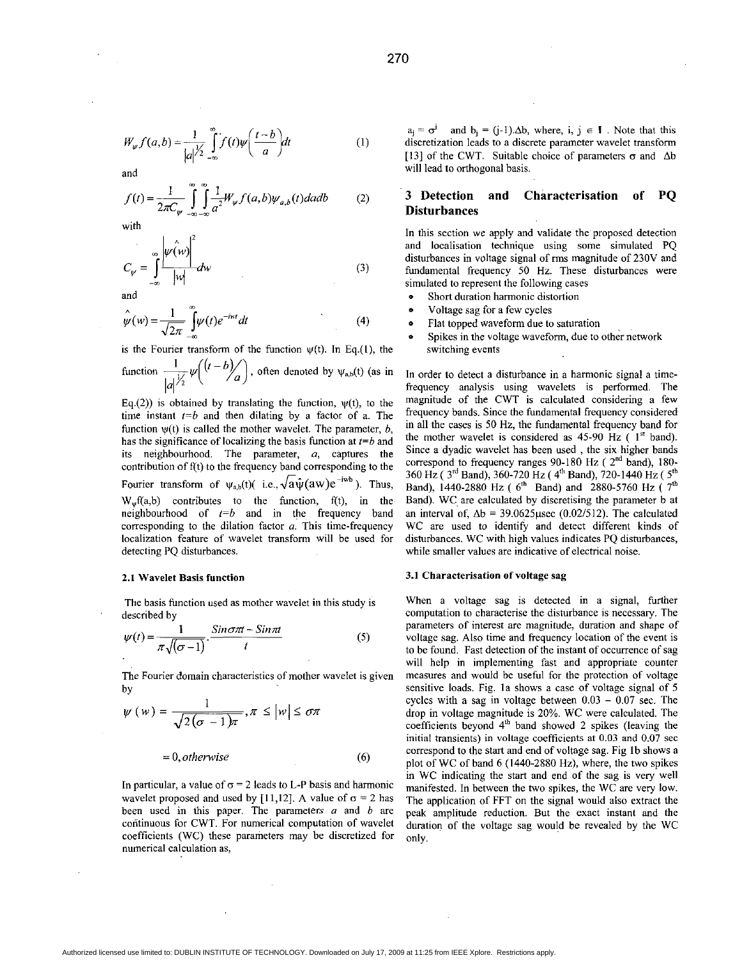$$
W_{\psi} f(a,b) = \frac{1}{|a|^{1/2}} \int_{-\infty}^{\infty} f(t) \psi\left(\frac{t-b}{a}\right) dt
$$
 (1)

and

$$
f(t) = \frac{1}{2\pi C_{\psi}} \int_{-\infty}^{\infty} \int_{-\infty}^{\infty} \frac{1}{a^2} W_{\psi} f(a, b) \psi_{a, b}(t) da db
$$
 (2)

with

$$
C_{\psi} = \int_{-\infty}^{\infty} \frac{\left| \psi(w) \right|^2}{|w|} dw \tag{3}
$$

and

$$
\hat{\psi}(w) = \frac{1}{\sqrt{2\pi}} \int_{-\infty}^{\infty} \psi(t) e^{-iwt} dt
$$
 (4)

is the Fourier transform of the function  $\psi(t)$ . In Eq.(1), the  $\psi(w) = \frac{1}{\sqrt{2\pi}} \int_{-\infty}^{\infty} \psi(t)e^{-iwt} dt$  (4)<br>
is the Fourier transform of the function  $\psi(t)$ . In Eq.(1), the<br>
function  $\frac{1}{|a|^{\frac{1}{2}}}\psi(\frac{(t-b)}{a})$ , often denoted by  $\psi_{a,b}(t)$  (as in

Eq.(2)) is obtained by translating the function,  $\psi(t)$ , to the time instant  $t=b$  and then dilating by a factor of a. The function  $\psi(t)$  is called the mother wavelet. The parameter,  $b$ , has the significance of localizing the hasis function at *t=b* and its neighbourhood. The parameter, *a,* captures the contribution of f(t) to the frequency band corresponding to the Fourier transform of  $\psi_{a,b}(t)$  i.e.,  $\sqrt{a}\hat{\psi}(aw)e^{-iwb}$  ). Thus,  $W_v f(a,b)$  contributes to the function,  $f(t)$ , in the neighbourhood of *f=b* and in the frequency band corresponding to the dilation factor *a.* This time-frequency localization feature of wavelet transform will be used for detecting PQ disturbances.

#### **2.1 Wavelet Basis function**

The basis function used as mother wavelet in this study is described by

$$
\psi(t) = \frac{1}{\pi \sqrt{(\sigma - 1)}} \cdot \frac{\sin \sigma \pi t - \sin \pi t}{t}
$$
 (5)

The Fourier domain characteristics of mother wavelet is given by

$$
\psi(w) = \frac{1}{\sqrt{2(\sigma - 1)\pi}}, \pi \le |w| \le \sigma\pi
$$
  
= 0, otherwise (6)

In particular, a value of  $\sigma = 2$  leads to L-P basis and harmonic wavelet proposed and used by [11,12]. A value of  $\sigma = 2$  has been used in this paper. The parameters *a* and *b* are continuous for CWT. For numerical computation of wavelet coefficients (WC) these parameters may be discretized for numerical calculation **as,** 

 $a_i = \sigma^i$  and  $b_i = (i-1) \Delta b$ , where,  $i, j \in I$ . Note that this discretization leads to a discrete parameter wavelet transform [13] of the CWT. Suitable choice of parameters  $\sigma$  and  $\Delta b$ will lead to orthogonal basis.

## **3 Detection and Characterisation of PQ Disturbances**

In this section we apply and validate the proposed detection and localisation technique using some simulated PQ disturbances in voltage signal of rms magnitude of 230V and fundamental frequency SO **Hz.** These disturbances were simulated to represent the following cases

- Short duration harmonic distortion
- *0*  Voltage sag for a few cycles
- **o**  Flat topped waveform due to saturation
- **o**  Spikes in the voltage waveform, due to other network switching events

In order to detect a disturbance in a harmonic signal a timefrequency analysis using wavelets **is** performed. The magnitude of the CWT is calculated considering a few frequency bands. Since the fundamental frequency considered in all the cases is 50 **Hz,** the fundamental frequency band for the mother wavelet is considered as **45-YO Hz** ( **I"** hand). Since a dyadic wavelet has been used , the six higher bands correspond to frequency ranges 90-180 Hz ( $2<sup>nd</sup>$  band), 180-360 **Hz** ( 3" Band), 360-720 *Hr* ( 4Ih Band), 720-1440 Hz ( *5"*  Band), 1440-2880 Hz (6<sup>th</sup> Band) and 2880-5760 Hz (7<sup>th</sup> Band). WC, are calculated by discretising the parameter b at an interval of,  $\Delta b = 39.0625 \mu \text{sec}$  (0.02/512). The calculated WC are used to identify and detect different kinds **of**  disturbances. WC with high values indicates PQ disturbances, while smaller values are indicative of electrical noise.

#### **3.1 Characterisation of voltage sag**

When a voltage sag **is** detected in a signal, further computation to characterise the disturbance **is** necessary. The parameters of interest are magnitude, duration and shape of voltage sag. **Also** time and frequency location of the event **is**  to be found. Fast detection of the instant of occurrence of sag will help in implementing fast and appropriate counter measures and would he useful for the protection of voltage sensitive loads. Fig. la shows a case of voltage signal of *5*  cycles with a sag in voltage between  $0.03 - 0.07$  sec. The drop in voltage magnitude **is 20%.** WC were calculated. The coefficients beyond 4" hand showed 2 spikes (leaving the initial transients) in voltage coefficients at 0.03 and 0.07 sec correspond to the **start** and end of voltage sag. Fig Ib shows a plot of WC of band 6 (1440-2880 Hz), where, the two spikes in WC indicating the start and end of the sag is very well manifested. In between the two spikes, the WC are very low. The application of FFT on the signal would also extract the peak amplitude reduction. But the exact instant and the duration of the voltage sag would be revealed by the WC only.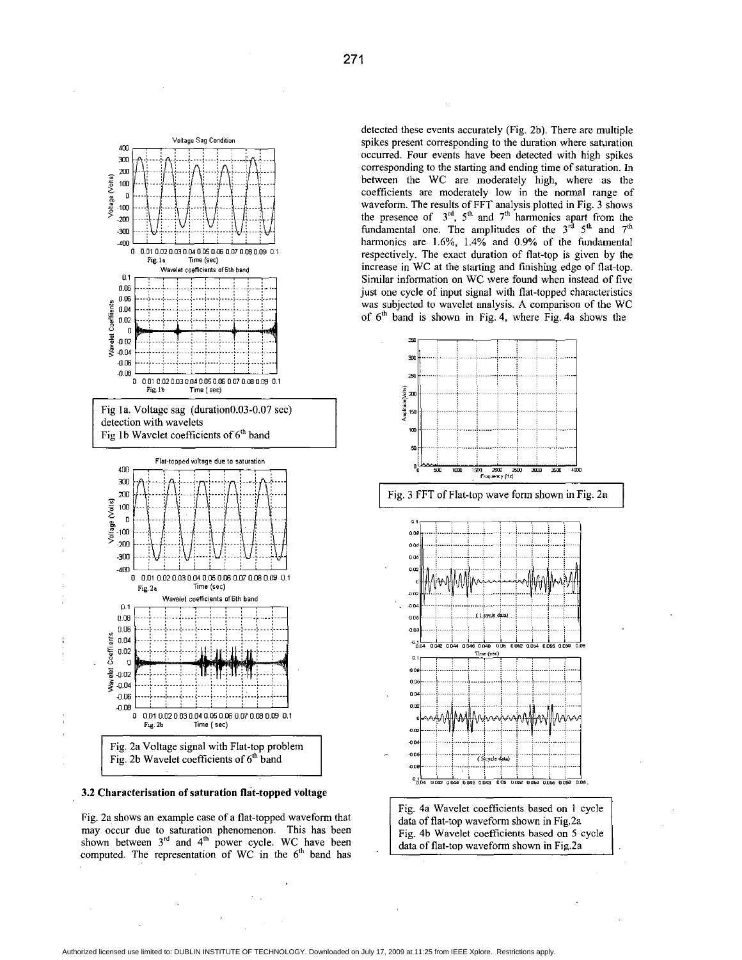

### **3.2 Characterisation of saturation flat-topped voltage**

Fig. 2a shows an example case of a flat-topped waveform that may occur due to saturation phenomenon. This has been shown between  $3<sup>rd</sup>$  and  $4<sup>th</sup>$  power cycle. WC have been computed. The representation of WC in the 6<sup>th</sup> band has

detected these events accurately (Fig. 2b). There are multiple spikes present corresponding to the duration where saturation occurred. Four events have been detected with high spikes corresponding to the starting and ending time of saturation. In between the WC are moderately high, where **as** the coefficients are moderately low in the normal range *of*  waveform. The **results** of FFT analysis plotted in Fig. 3 shows the presence of  $3<sup>rd</sup>$ ,  $5<sup>th</sup>$  and  $7<sup>th</sup>$  harmonics apart from the fundamental one. The amplitudes of the 3<sup>rd</sup> 5<sup>th</sup> and 7<sup>th</sup> harmonics are 1.6%, 1.4% and 0.9% of the fundamental respectively. The exact duration of flat-top is given by the increase in WC at the starting and finishing edge of flat-top. Similar information on WC were found when instead of five just one cycle of input signal with flat-topped characteristics was subjected to wavelet analysis. **A** comparison of the WC of  $6<sup>th</sup>$  band is shown in Fig. 4, where Fig. 4a shows the



Fig. 4b Wavelet coefficients based on 5 cycle data of flat-top waveform shown in Fig.2a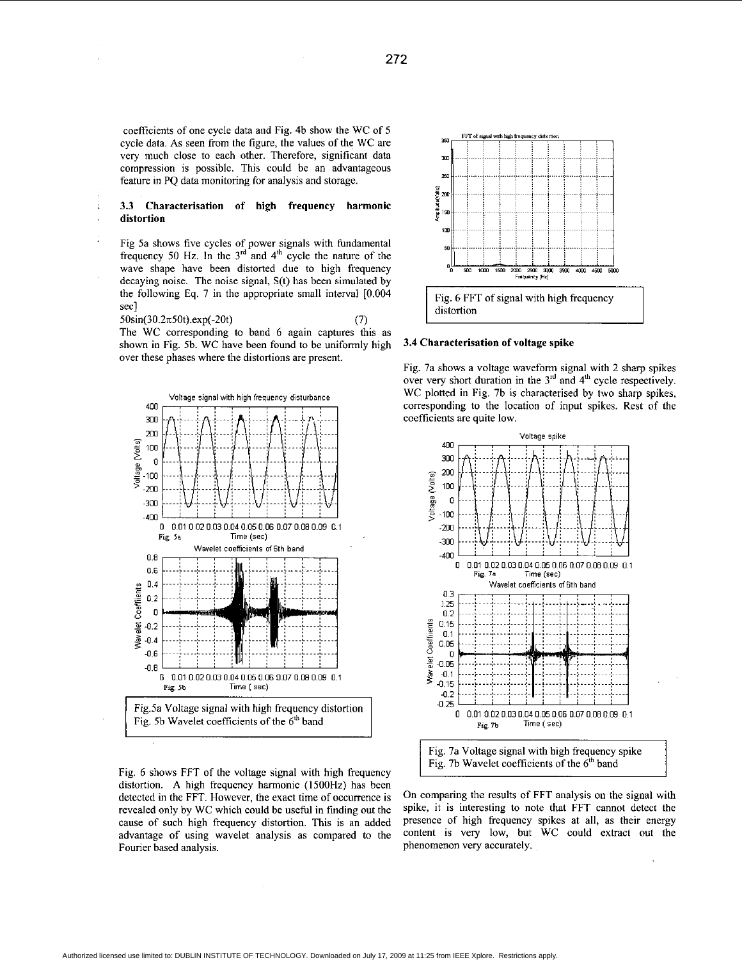coefficients of one cycle data aud Fig. 4b show the WC of *<sup>S</sup>* cycle data. **As** seen from the figure, the values of the WC are very much close to each other. Therefore, significant data compression **is** possible. This could he an advantageous feature in PQ data monitoring for analysis and storage.

## <sup>i</sup>**3.3 Characterisation of high frequency harmonic distortion**

Fig 5a shows five cycles of power signals with fundamental frequency *50* Hz. In the **3rd** and 4Ih cycle the nature of the wave shape have been distorted due to high frequency decaying noise. The noise signal, **S(t)** has been simulated by the following Eq. 7 in the appropriate small interval [0.004 sec]

The WC corresponding to band 6 again captures this as shown in Fig. 5b. WC have been found to be uniformly high over these phases where the distortions are present.  $50\sin(30.2\pi 50t)$ .exp(-20t)



Fig. 6 shows FFT of the voltage signal with high frequency distortion. **A** high frequency harmonic **(15OOHz)** has been detected in the FFT. However, the exact time of occurrence is revealed only by WC which could be useful in finding out the cause of such high frequency distortion. This is an added advantage of using wavelet analysis as compared to the Fourier based analysis. **phenomenon** very accurately.



### **3.4 Characterisation of voltage spike**

Fig. 7a shows a voltage waveform signal with 2 sharp spikes over very short duration in the **31d** and **4"** cycle respectively. WC plotted in Fig. 7b **is** characterised by two sharp spikes, corresponding to the location of input spikes. Rest of the coefficients are quite low.



Fig. 7b Wavelet coefficients of the **61h** band

On comparing the results of FFT analysis on the signal with spike, it is interesting to note that FFT cannot detect the presence of high frequency spikes at all, as their energy content is very low, but WC could extract out the